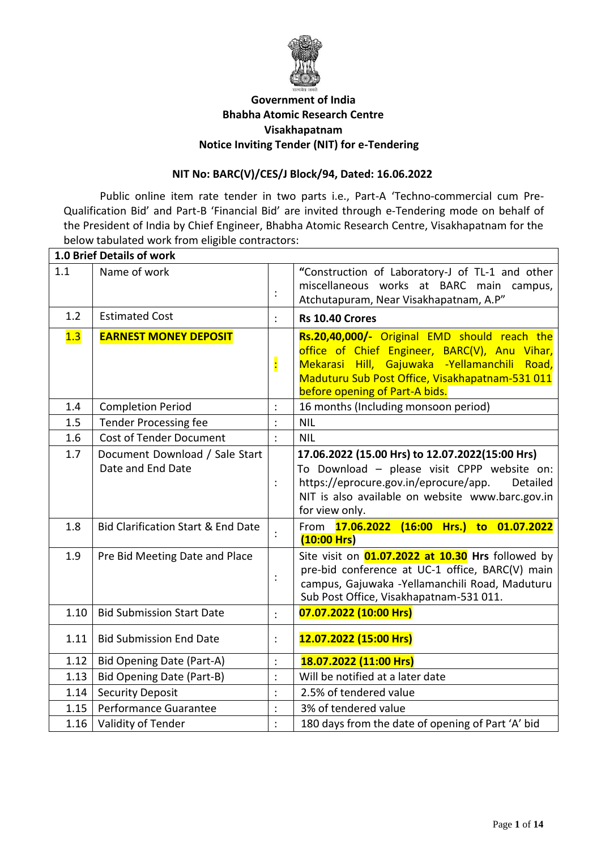

# **Government of India Bhabha Atomic Research Centre Visakhapatnam Notice Inviting Tender (NIT) for e-Tendering**

## **NIT No: BARC(V)/CES/J Block/94, Dated: 16.06.2022**

Public online item rate tender in two parts i.e., Part-A 'Techno-commercial cum Pre-Qualification Bid' and Part-B 'Financial Bid' are invited through e-Tendering mode on behalf of the President of India by Chief Engineer, Bhabha Atomic Research Centre, Visakhapatnam for the below tabulated work from eligible contractors:

| 1.0 Brief Details of work |                                                     |                |                                                                                                                                                                                                                                    |  |  |
|---------------------------|-----------------------------------------------------|----------------|------------------------------------------------------------------------------------------------------------------------------------------------------------------------------------------------------------------------------------|--|--|
| 1.1                       | Name of work                                        | $\ddot{\cdot}$ | "Construction of Laboratory-J of TL-1 and other<br>miscellaneous works at BARC main campus,<br>Atchutapuram, Near Visakhapatnam, A.P"                                                                                              |  |  |
| 1.2                       | <b>Estimated Cost</b>                               | $\ddot{\cdot}$ | Rs 10.40 Crores                                                                                                                                                                                                                    |  |  |
| 1.3                       | <b>EARNEST MONEY DEPOSIT</b>                        | ŀ              | Rs.20,40,000/- Original EMD should reach the<br>office of Chief Engineer, BARC(V), Anu Vihar,<br>Mekarasi Hill, Gajuwaka -Yellamanchili Road,<br>Maduturu Sub Post Office, Visakhapatnam-531 011<br>before opening of Part-A bids. |  |  |
| 1.4                       | <b>Completion Period</b>                            |                | 16 months (Including monsoon period)                                                                                                                                                                                               |  |  |
| 1.5                       | <b>Tender Processing fee</b>                        |                | <b>NIL</b>                                                                                                                                                                                                                         |  |  |
| 1.6                       | <b>Cost of Tender Document</b>                      |                | <b>NIL</b>                                                                                                                                                                                                                         |  |  |
| 1.7                       | Document Download / Sale Start<br>Date and End Date | $\vdots$       | 17.06.2022 (15.00 Hrs) to 12.07.2022(15:00 Hrs)<br>To Download - please visit CPPP website on:<br>https://eprocure.gov.in/eprocure/app.<br>Detailed<br>NIT is also available on website www.barc.gov.in<br>for view only.          |  |  |
| 1.8                       | <b>Bid Clarification Start &amp; End Date</b>       |                | 17.06.2022 (16:00 Hrs.) to 01.07.2022<br>From<br>$(10:00$ Hrs)                                                                                                                                                                     |  |  |
| 1.9                       | Pre Bid Meeting Date and Place                      | $\ddot{\cdot}$ | Site visit on <b>01.07.2022 at 10.30</b> Hrs followed by<br>pre-bid conference at UC-1 office, BARC(V) main<br>campus, Gajuwaka -Yellamanchili Road, Maduturu<br>Sub Post Office, Visakhapatnam-531 011.                           |  |  |
| 1.10                      | <b>Bid Submission Start Date</b>                    | $\ddot{\cdot}$ | 07.07.2022 (10:00 Hrs)                                                                                                                                                                                                             |  |  |
| 1.11                      | <b>Bid Submission End Date</b>                      |                | 12.07.2022 (15:00 Hrs)                                                                                                                                                                                                             |  |  |
| 1.12                      | Bid Opening Date (Part-A)                           |                | 18.07.2022 (11:00 Hrs)                                                                                                                                                                                                             |  |  |
| 1.13                      | Bid Opening Date (Part-B)                           |                | Will be notified at a later date                                                                                                                                                                                                   |  |  |
| 1.14                      | <b>Security Deposit</b>                             |                | 2.5% of tendered value                                                                                                                                                                                                             |  |  |
| 1.15                      | Performance Guarantee                               |                | 3% of tendered value                                                                                                                                                                                                               |  |  |
| 1.16                      | Validity of Tender                                  | $\ddot{\cdot}$ | 180 days from the date of opening of Part 'A' bid                                                                                                                                                                                  |  |  |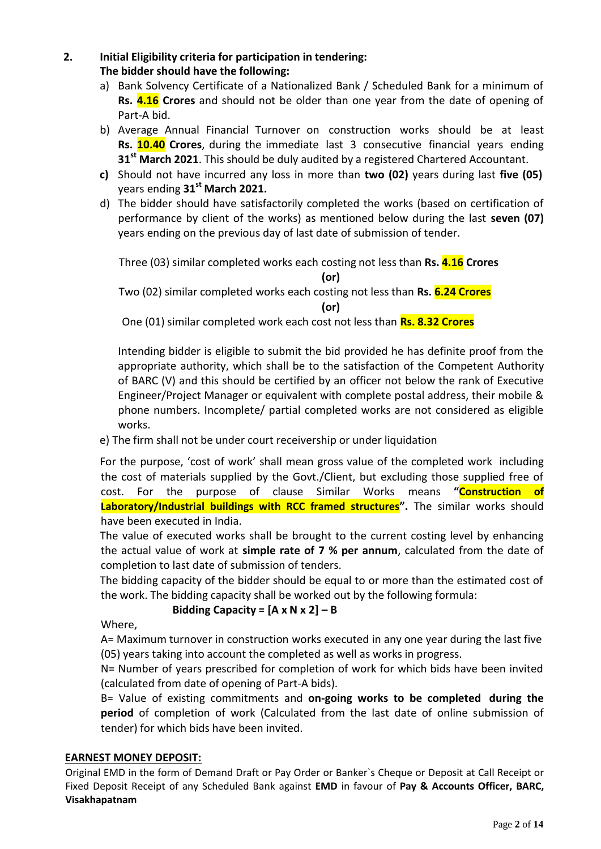**2. Initial Eligibility criteria for participation in tendering:**

# **The bidder should have the following:**

- a) Bank Solvency Certificate of a Nationalized Bank / Scheduled Bank for a minimum of **Rs. 4.16 Crores** and should not be older than one year from the date of opening of Part-A bid.
- b) Average Annual Financial Turnover on construction works should be at least **Rs. 10.40 Crores**, during the immediate last 3 consecutive financial years ending **31st March 2021**. This should be duly audited by a registered Chartered Accountant.
- **c)** Should not have incurred any loss in more than **two (02)** years during last **five (05)** years ending **31st March 2021.**
- d) The bidder should have satisfactorily completed the works (based on certification of performance by client of the works) as mentioned below during the last **seven (07)** years ending on the previous day of last date of submission of tender.

Three (03) similar completed works each costing not less than **Rs. 4.16 Crores**

**(or)**

Two (02) similar completed works each costing not less than **Rs. 6.24 Crores**

**(or)**

One (01) similar completed work each cost not less than **Rs. 8.32 Crores**

Intending bidder is eligible to submit the bid provided he has definite proof from the appropriate authority, which shall be to the satisfaction of the Competent Authority of BARC (V) and this should be certified by an officer not below the rank of Executive Engineer/Project Manager or equivalent with complete postal address, their mobile & phone numbers. Incomplete/ partial completed works are not considered as eligible works.

e) The firm shall not be under court receivership or under liquidation

For the purpose, 'cost of work' shall mean gross value of the completed work including the cost of materials supplied by the Govt./Client, but excluding those supplied free of cost. For the purpose of clause Similar Works means **"Construction of Laboratory/Industrial buildings with RCC framed structures".** The similar works should have been executed in India.

The value of executed works shall be brought to the current costing level by enhancing the actual value of work at **simple rate of 7 % per annum**, calculated from the date of completion to last date of submission of tenders.

The bidding capacity of the bidder should be equal to or more than the estimated cost of the work. The bidding capacity shall be worked out by the following formula:

# **Bidding Capacity = [A x N x 2] – B**

Where,

A= Maximum turnover in construction works executed in any one year during the last five (05) years taking into account the completed as well as works in progress.

N= Number of years prescribed for completion of work for which bids have been invited (calculated from date of opening of Part-A bids).

B= Value of existing commitments and **on-going works to be completed during the period** of completion of work (Calculated from the last date of online submission of tender) for which bids have been invited.

# **EARNEST MONEY DEPOSIT:**

Original EMD in the form of Demand Draft or Pay Order or Banker`s Cheque or Deposit at Call Receipt or Fixed Deposit Receipt of any Scheduled Bank against **EMD** in favour of **Pay & Accounts Officer, BARC, Visakhapatnam**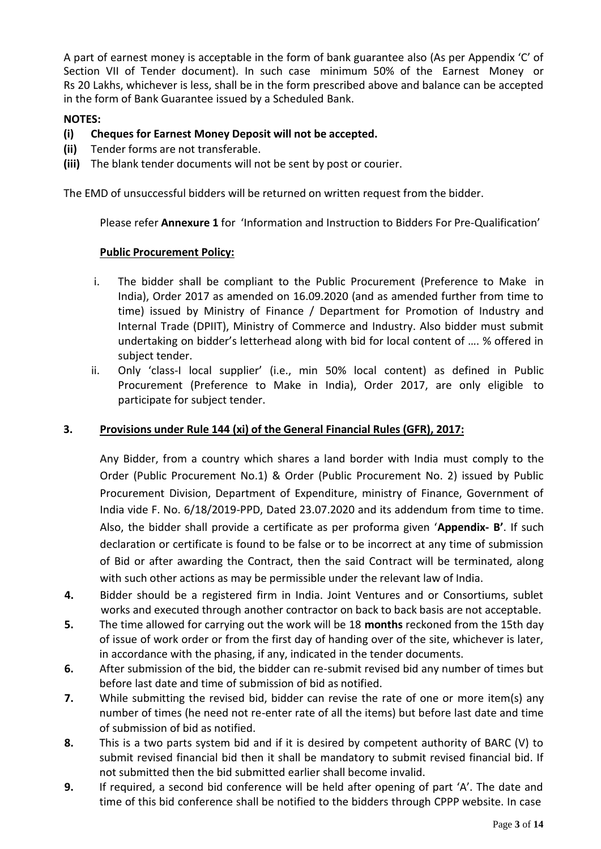A part of earnest money is acceptable in the form of bank guarantee also (As per Appendix 'C' of Section VII of Tender document). In such case minimum 50% of the Earnest Money or Rs 20 Lakhs, whichever is less, shall be in the form prescribed above and balance can be accepted in the form of Bank Guarantee issued by a Scheduled Bank.

# **NOTES:**

- **(i) Cheques for Earnest Money Deposit will not be accepted.**
- **(ii)** Tender forms are not transferable.
- **(iii)** The blank tender documents will not be sent by post or courier.

The EMD of unsuccessful bidders will be returned on written request from the bidder.

Please refer **Annexure 1** for 'Information and Instruction to Bidders For Pre-Qualification'

#### **Public Procurement Policy:**

- i. The bidder shall be compliant to the Public Procurement (Preference to Make in India), Order 2017 as amended on 16.09.2020 (and as amended further from time to time) issued by Ministry of Finance / Department for Promotion of Industry and Internal Trade (DPIIT), Ministry of Commerce and Industry. Also bidder must submit undertaking on bidder's letterhead along with bid for local content of …. % offered in subject tender.
- ii. Only 'class-I local supplier' (i.e., min 50% local content) as defined in Public Procurement (Preference to Make in India), Order 2017, are only eligible to participate for subject tender.

#### **3. Provisions under Rule 144 (xi) of the General Financial Rules (GFR), 2017:**

Any Bidder, from a country which shares a land border with India must comply to the Order (Public Procurement No.1) & Order (Public Procurement No. 2) issued by Public Procurement Division, Department of Expenditure, ministry of Finance, Government of India vide F. No. 6/18/2019-PPD, Dated 23.07.2020 and its addendum from time to time. Also, the bidder shall provide a certificate as per proforma given '**Appendix- B'**. If such declaration or certificate is found to be false or to be incorrect at any time of submission of Bid or after awarding the Contract, then the said Contract will be terminated, along with such other actions as may be permissible under the relevant law of India.

- **4.** Bidder should be a registered firm in India. Joint Ventures and or Consortiums, sublet works and executed through another contractor on back to back basis are not acceptable.
- **5.** The time allowed for carrying out the work will be 18 **months** reckoned from the 15th day of issue of work order or from the first day of handing over of the site, whichever is later, in accordance with the phasing, if any, indicated in the tender documents.
- **6.** After submission of the bid, the bidder can re-submit revised bid any number of times but before last date and time of submission of bid as notified.
- **7.** While submitting the revised bid, bidder can revise the rate of one or more item(s) any number of times (he need not re-enter rate of all the items) but before last date and time of submission of bid as notified.
- **8.** This is a two parts system bid and if it is desired by competent authority of BARC (V) to submit revised financial bid then it shall be mandatory to submit revised financial bid. If not submitted then the bid submitted earlier shall become invalid.
- **9.** If required, a second bid conference will be held after opening of part 'A'. The date and time of this bid conference shall be notified to the bidders through CPPP website. In case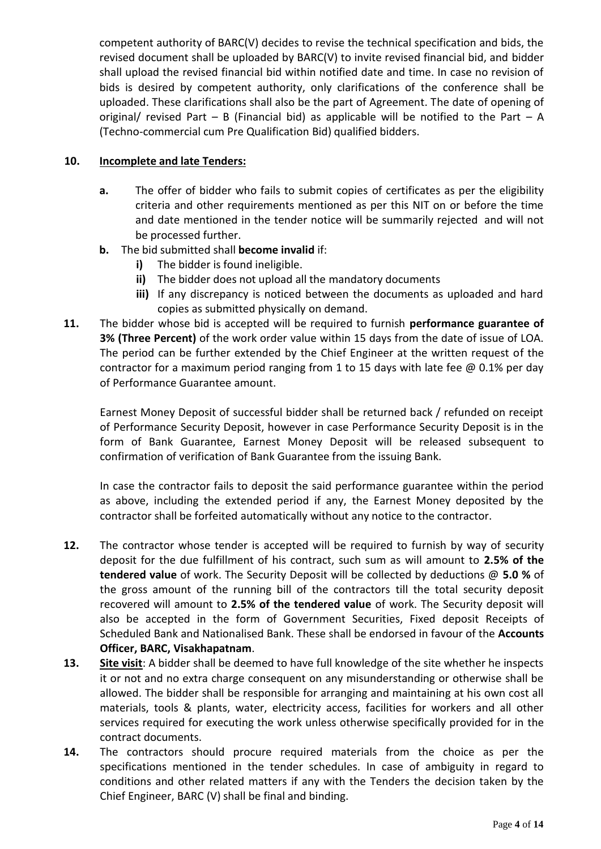competent authority of BARC(V) decides to revise the technical specification and bids, the revised document shall be uploaded by BARC(V) to invite revised financial bid, and bidder shall upload the revised financial bid within notified date and time. In case no revision of bids is desired by competent authority, only clarifications of the conference shall be uploaded. These clarifications shall also be the part of Agreement. The date of opening of original/ revised Part – B (Financial bid) as applicable will be notified to the Part – A (Techno-commercial cum Pre Qualification Bid) qualified bidders.

# **10. Incomplete and late Tenders:**

- **a.** The offer of bidder who fails to submit copies of certificates as per the eligibility criteria and other requirements mentioned as per this NIT on or before the time and date mentioned in the tender notice will be summarily rejected and will not be processed further.
- **b.** The bid submitted shall **become invalid** if:
	- **i)** The bidder is found ineligible.
	- **ii)** The bidder does not upload all the mandatory documents
	- **iii)** If any discrepancy is noticed between the documents as uploaded and hard copies as submitted physically on demand.
- **11.** The bidder whose bid is accepted will be required to furnish **performance guarantee of 3% (Three Percent)** of the work order value within 15 days from the date of issue of LOA. The period can be further extended by the Chief Engineer at the written request of the contractor for a maximum period ranging from 1 to 15 days with late fee  $\omega$  0.1% per day of Performance Guarantee amount.

Earnest Money Deposit of successful bidder shall be returned back / refunded on receipt of Performance Security Deposit, however in case Performance Security Deposit is in the form of Bank Guarantee, Earnest Money Deposit will be released subsequent to confirmation of verification of Bank Guarantee from the issuing Bank.

In case the contractor fails to deposit the said performance guarantee within the period as above, including the extended period if any, the Earnest Money deposited by the contractor shall be forfeited automatically without any notice to the contractor.

- **12.** The contractor whose tender is accepted will be required to furnish by way of security deposit for the due fulfillment of his contract, such sum as will amount to **2.5% of the tendered value** of work. The Security Deposit will be collected by deductions @ **5.0 %** of the gross amount of the running bill of the contractors till the total security deposit recovered will amount to **2.5% of the tendered value** of work. The Security deposit will also be accepted in the form of Government Securities, Fixed deposit Receipts of Scheduled Bank and Nationalised Bank. These shall be endorsed in favour of the **Accounts Officer, BARC, Visakhapatnam**.
- **13. Site visit**: A bidder shall be deemed to have full knowledge of the site whether he inspects it or not and no extra charge consequent on any misunderstanding or otherwise shall be allowed. The bidder shall be responsible for arranging and maintaining at his own cost all materials, tools & plants, water, electricity access, facilities for workers and all other services required for executing the work unless otherwise specifically provided for in the contract documents.
- **14.** The contractors should procure required materials from the choice as per the specifications mentioned in the tender schedules. In case of ambiguity in regard to conditions and other related matters if any with the Tenders the decision taken by the Chief Engineer, BARC (V) shall be final and binding.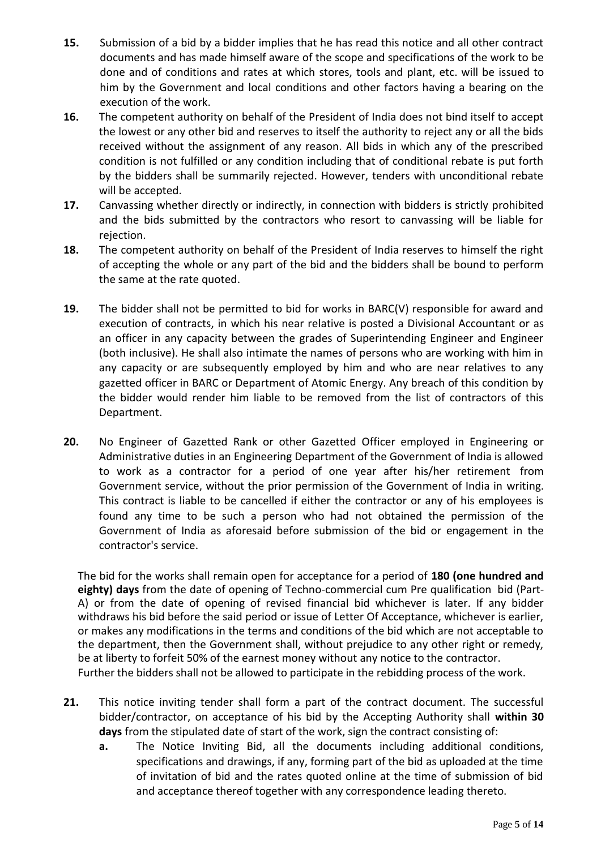- **15.** Submission of a bid by a bidder implies that he has read this notice and all other contract documents and has made himself aware of the scope and specifications of the work to be done and of conditions and rates at which stores, tools and plant, etc. will be issued to him by the Government and local conditions and other factors having a bearing on the execution of the work.
- **16.** The competent authority on behalf of the President of India does not bind itself to accept the lowest or any other bid and reserves to itself the authority to reject any or all the bids received without the assignment of any reason. All bids in which any of the prescribed condition is not fulfilled or any condition including that of conditional rebate is put forth by the bidders shall be summarily rejected. However, tenders with unconditional rebate will be accepted.
- **17.** Canvassing whether directly or indirectly, in connection with bidders is strictly prohibited and the bids submitted by the contractors who resort to canvassing will be liable for rejection.
- **18.** The competent authority on behalf of the President of India reserves to himself the right of accepting the whole or any part of the bid and the bidders shall be bound to perform the same at the rate quoted.
- **19.** The bidder shall not be permitted to bid for works in BARC(V) responsible for award and execution of contracts, in which his near relative is posted a Divisional Accountant or as an officer in any capacity between the grades of Superintending Engineer and Engineer (both inclusive). He shall also intimate the names of persons who are working with him in any capacity or are subsequently employed by him and who are near relatives to any gazetted officer in BARC or Department of Atomic Energy. Any breach of this condition by the bidder would render him liable to be removed from the list of contractors of this Department.
- **20.** No Engineer of Gazetted Rank or other Gazetted Officer employed in Engineering or Administrative duties in an Engineering Department of the Government of India is allowed to work as a contractor for a period of one year after his/her retirement from Government service, without the prior permission of the Government of India in writing. This contract is liable to be cancelled if either the contractor or any of his employees is found any time to be such a person who had not obtained the permission of the Government of India as aforesaid before submission of the bid or engagement in the contractor's service.

The bid for the works shall remain open for acceptance for a period of **180 (one hundred and eighty) days** from the date of opening of Techno-commercial cum Pre qualification bid (Part-A) or from the date of opening of revised financial bid whichever is later. If any bidder withdraws his bid before the said period or issue of Letter Of Acceptance, whichever is earlier, or makes any modifications in the terms and conditions of the bid which are not acceptable to the department, then the Government shall, without prejudice to any other right or remedy, be at liberty to forfeit 50% of the earnest money without any notice to the contractor. Further the bidders shall not be allowed to participate in the rebidding process of the work.

- **21.** This notice inviting tender shall form a part of the contract document. The successful bidder/contractor, on acceptance of his bid by the Accepting Authority shall **within 30 days** from the stipulated date of start of the work, sign the contract consisting of:
	- **a.** The Notice Inviting Bid, all the documents including additional conditions, specifications and drawings, if any, forming part of the bid as uploaded at the time of invitation of bid and the rates quoted online at the time of submission of bid and acceptance thereof together with any correspondence leading thereto.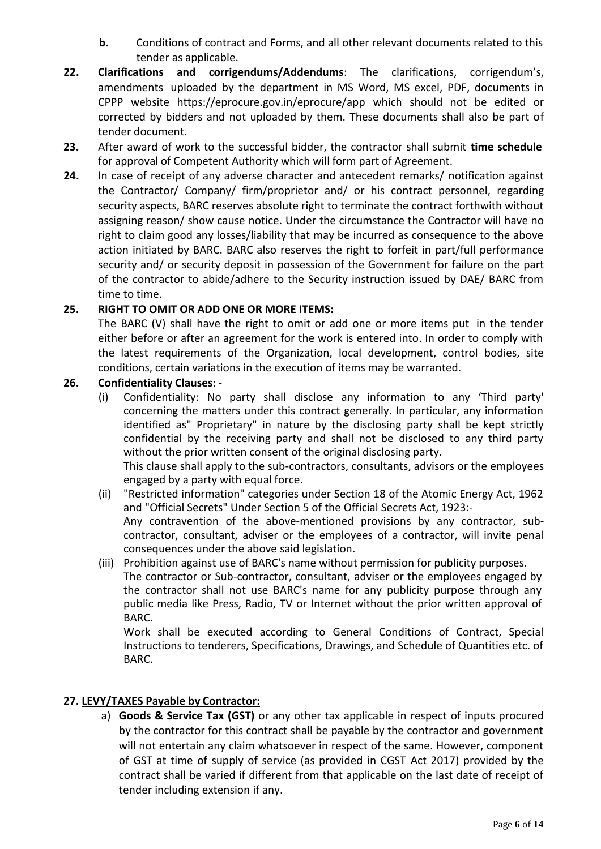- **b.** Conditions of contract and Forms, and all other relevant documents related to this tender as applicable.
- **22. Clarifications and corrigendums/Addendums**: The clarifications, corrigendum's, amendments uploaded by the department in MS Word, MS excel, PDF, documents in CPPP website https://eprocure.gov.in/eprocure/app which should not be edited or corrected by bidders and not uploaded by them. These documents shall also be part of tender document.
- **23.** After award of work to the successful bidder, the contractor shall submit **time schedule** for approval of Competent Authority which will form part of Agreement.
- **24.** In case of receipt of any adverse character and antecedent remarks/ notification against the Contractor/ Company/ firm/proprietor and/ or his contract personnel, regarding security aspects, BARC reserves absolute right to terminate the contract forthwith without assigning reason/ show cause notice. Under the circumstance the Contractor will have no right to claim good any losses/liability that may be incurred as consequence to the above action initiated by BARC. BARC also reserves the right to forfeit in part/full performance security and/ or security deposit in possession of the Government for failure on the part of the contractor to abide/adhere to the Security instruction issued by DAE/ BARC from time to time.

# **25. RIGHT TO OMIT OR ADD ONE OR MORE ITEMS:**

The BARC (V) shall have the right to omit or add one or more items put in the tender either before or after an agreement for the work is entered into. In order to comply with the latest requirements of the Organization, local development, control bodies, site conditions, certain variations in the execution of items may be warranted.

#### **26. Confidentiality Clauses**: -

(i) Confidentiality: No party shall disclose any information to any 'Third party' concerning the matters under this contract generally. In particular, any information identified as" Proprietary" in nature by the disclosing party shall be kept strictly confidential by the receiving party and shall not be disclosed to any third party without the prior written consent of the original disclosing party.

This clause shall apply to the sub-contractors, consultants, advisors or the employees engaged by a party with equal force.

(ii) "Restricted information" categories under Section 18 of the Atomic Energy Act, 1962 and "Official Secrets" Under Section 5 of the Official Secrets Act, 1923:- Any contravention of the above-mentioned provisions by any contractor, subcontractor, consultant, adviser or the employees of a contractor, will invite penal consequences under the above said legislation.

#### (iii) Prohibition against use of BARC's name without permission for publicity purposes. The contractor or Sub-contractor, consultant, adviser or the employees engaged by the contractor shall not use BARC's name for any publicity purpose through any public media like Press, Radio, TV or Internet without the prior written approval of BARC.

Work shall be executed according to General Conditions of Contract, Special Instructions to tenderers, Specifications, Drawings, and Schedule of Quantities etc. of BARC.

#### **27. LEVY/TAXES Payable by Contractor:**

a) **Goods & Service Tax (GST)** or any other tax applicable in respect of inputs procured by the contractor for this contract shall be payable by the contractor and government will not entertain any claim whatsoever in respect of the same. However, component of GST at time of supply of service (as provided in CGST Act 2017) provided by the contract shall be varied if different from that applicable on the last date of receipt of tender including extension if any.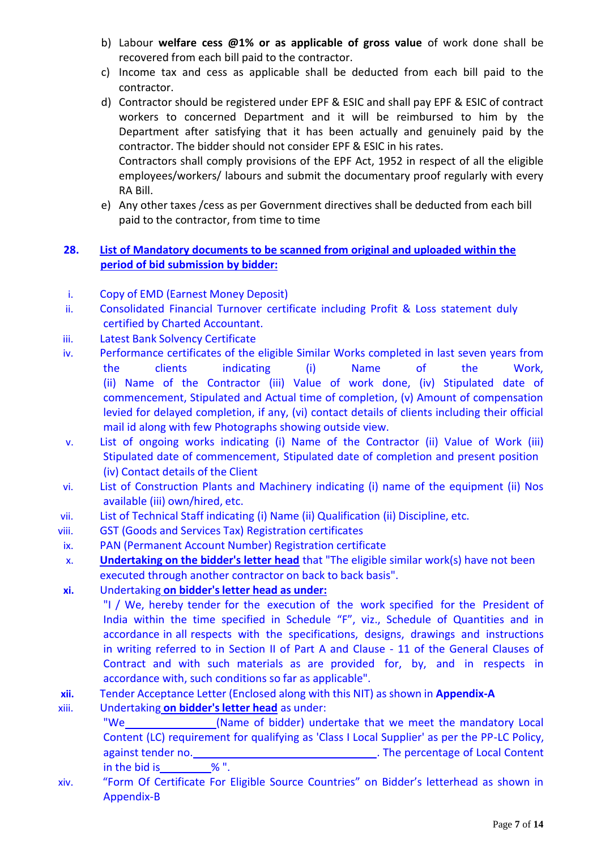- b) Labour **welfare cess @1% or as applicable of gross value** of work done shall be recovered from each bill paid to the contractor.
- c) Income tax and cess as applicable shall be deducted from each bill paid to the contractor.
- d) Contractor should be registered under EPF & ESIC and shall pay EPF & ESIC of contract workers to concerned Department and it will be reimbursed to him by the Department after satisfying that it has been actually and genuinely paid by the contractor. The bidder should not consider EPF & ESIC in his rates. Contractors shall comply provisions of the EPF Act, 1952 in respect of all the eligible

employees/workers/ labours and submit the documentary proof regularly with every RA Bill.

e) Any other taxes /cess as per Government directives shall be deducted from each bill paid to the contractor, from time to time

# **28. List of Mandatory documents to be scanned from original and uploaded within the period of bid submission by bidder:**

- i. Copy of EMD (Earnest Money Deposit)
- ii. Consolidated Financial Turnover certificate including Profit & Loss statement duly certified by Charted Accountant.
- iii. Latest Bank Solvency Certificate
- iv. Performance certificates of the eligible Similar Works completed in last seven years from the clients indicating (i) Name of the Work, (ii) Name of the Contractor (iii) Value of work done, (iv) Stipulated date of commencement, Stipulated and Actual time of completion, (v) Amount of compensation levied for delayed completion, if any, (vi) contact details of clients including their official mail id along with few Photographs showing outside view.
- v. List of ongoing works indicating (i) Name of the Contractor (ii) Value of Work (iii) Stipulated date of commencement, Stipulated date of completion and present position (iv) Contact details of the Client
- vi. List of Construction Plants and Machinery indicating (i) name of the equipment (ii) Nos available (iii) own/hired, etc.
- vii. List of Technical Staff indicating (i) Name (ii) Qualification (ii) Discipline, etc.
- viii. GST (Goods and Services Tax) Registration certificates
- ix. PAN (Permanent Account Number) Registration certificate
- x. **Undertaking on the bidder's letter head** that "The eligible similar work(s) have not been executed through another contractor on back to back basis".
- **xi.** Undertaking **on bidder'sletter head as under:**

"I / We, hereby tender for the execution of the work specified for the President of India within the time specified in Schedule "F", viz., Schedule of Quantities and in accordance in all respects with the specifications, designs, drawings and instructions in writing referred to in Section II of Part A and Clause - 11 of the General Clauses of Contract and with such materials as are provided for, by, and in respects in accordance with, such conditions so far as applicable".

- **xii.** Tender Acceptance Letter (Enclosed along with this NIT) as shown in **Appendix-A**
- xiii. Undertaking **on bidder'sletter head** as under:
	- "We (Name of bidder) undertake that we meet the mandatory Local Content (LC) requirement for qualifying as 'Class I Local Supplier' as per the PP-LC Policy, against tender no. . The percentage of Local Content in the bid is % ".
- xiv. "Form Of Certificate For Eligible Source Countries" on Bidder's letterhead as shown in Appendix-B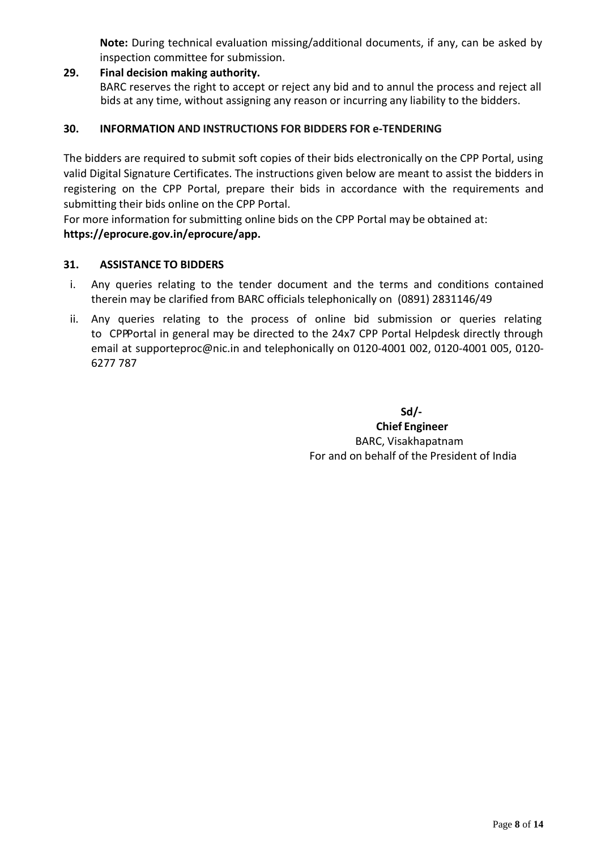**Note:** During technical evaluation missing/additional documents, if any, can be asked by inspection committee for submission.

# **29. Final decision making authority.**

BARC reserves the right to accept or reject any bid and to annul the process and reject all bids at any time, without assigning any reason or incurring any liability to the bidders.

## **30. INFORMATION AND INSTRUCTIONS FOR BIDDERS FOR e-TENDERING**

The bidders are required to submit soft copies of their bids electronically on the CPP Portal, using valid Digital Signature Certificates. The instructions given below are meant to assist the bidders in registering on the CPP Portal, prepare their bids in accordance with the requirements and submitting their bids online on the CPP Portal.

For more information for submitting online bids on the CPP Portal may be obtained at: **https://eprocure.gov.in/eprocure/app.**

## **31. ASSISTANCE TO BIDDERS**

- i. Any queries relating to the tender document and the terms and conditions contained therein may be clarified from BARC officials telephonically on (0891) 2831146/49
- ii. Any queries relating to the process of online bid submission or queries relating to CPPP ortal in general may be directed to the 24x7 CPP Portal Helpdesk directly through email at [supporteproc@nic.in](mailto:supporteproc@nic.in) and telephonically on 0120-4001 002, 0120-4001 005, 0120- 6277 787

 **Sd/- Chief Engineer** BARC, Visakhapatnam For and on behalf of the President of India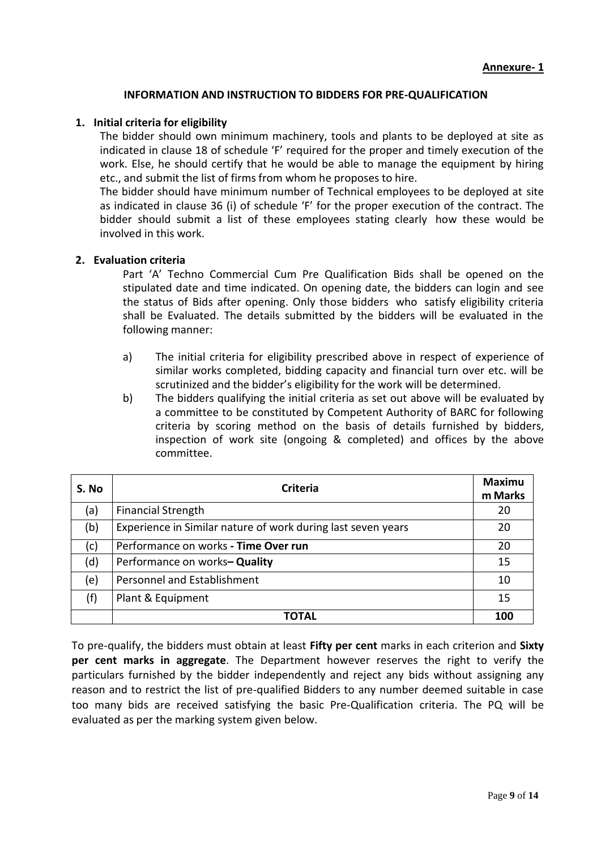#### **INFORMATION AND INSTRUCTION TO BIDDERS FOR PRE-QUALIFICATION**

#### **1. Initial criteria for eligibility**

The bidder should own minimum machinery, tools and plants to be deployed at site as indicated in clause 18 of schedule 'F' required for the proper and timely execution of the work. Else, he should certify that he would be able to manage the equipment by hiring etc., and submit the list of firms from whom he proposes to hire.

The bidder should have minimum number of Technical employees to be deployed at site as indicated in clause 36 (i) of schedule 'F' for the proper execution of the contract. The bidder should submit a list of these employees stating clearly how these would be involved in this work.

## **2. Evaluation criteria**

Part 'A' Techno Commercial Cum Pre Qualification Bids shall be opened on the stipulated date and time indicated. On opening date, the bidders can login and see the status of Bids after opening. Only those bidders who satisfy eligibility criteria shall be Evaluated. The details submitted by the bidders will be evaluated in the following manner:

- a) The initial criteria for eligibility prescribed above in respect of experience of similar works completed, bidding capacity and financial turn over etc. will be scrutinized and the bidder's eligibility for the work will be determined.
- b) The bidders qualifying the initial criteria as set out above will be evaluated by a committee to be constituted by Competent Authority of BARC for following criteria by scoring method on the basis of details furnished by bidders, inspection of work site (ongoing & completed) and offices by the above committee.

| S. No | <b>Criteria</b>                                              |    |
|-------|--------------------------------------------------------------|----|
| (a)   | <b>Financial Strength</b>                                    | 20 |
| (b)   | Experience in Similar nature of work during last seven years | 20 |
| (c)   | Performance on works - Time Over run                         | 20 |
| (d)   | Performance on works- Quality                                | 15 |
| (e)   | Personnel and Establishment                                  | 10 |
| (f)   | Plant & Equipment                                            | 15 |
|       | <b>TOTAL</b>                                                 |    |

To pre-qualify, the bidders must obtain at least **Fifty per cent** marks in each criterion and **Sixty per cent marks in aggregate**. The Department however reserves the right to verify the particulars furnished by the bidder independently and reject any bids without assigning any reason and to restrict the list of pre-qualified Bidders to any number deemed suitable in case too many bids are received satisfying the basic Pre-Qualification criteria. The PQ will be evaluated as per the marking system given below.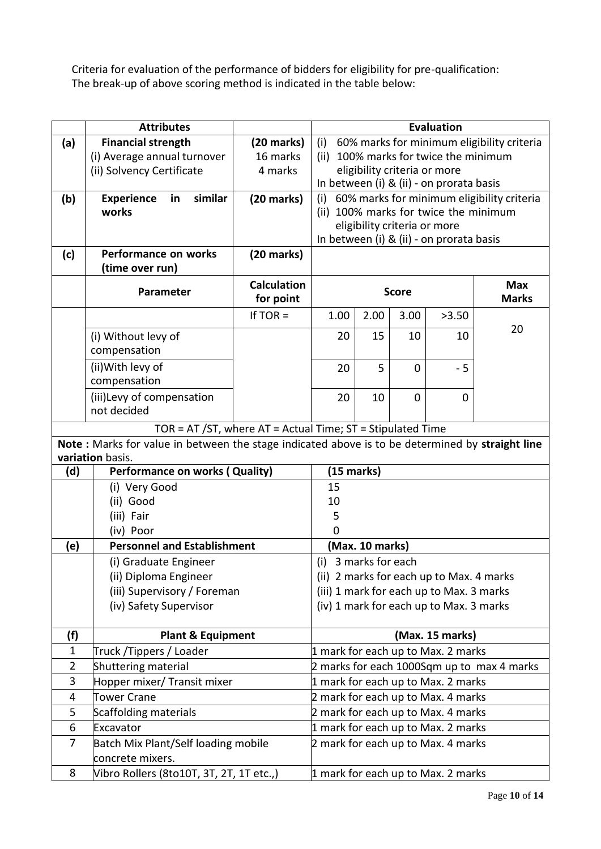Criteria for evaluation of the performance of bidders for eligibility for pre-qualification: The break-up of above scoring method is indicated in the table below:

|                | <b>Attributes</b>                                                                               |                         |                                          |                                            |                              | <b>Evaluation</b>                        |                                            |  |  |
|----------------|-------------------------------------------------------------------------------------------------|-------------------------|------------------------------------------|--------------------------------------------|------------------------------|------------------------------------------|--------------------------------------------|--|--|
| (a)            | <b>Financial strength</b>                                                                       | $(20$ marks)            | (i)                                      | 60% marks for minimum eligibility criteria |                              |                                          |                                            |  |  |
|                | (i) Average annual turnover                                                                     | 16 marks                | 100% marks for twice the minimum<br>(ii) |                                            |                              |                                          |                                            |  |  |
|                | (ii) Solvency Certificate                                                                       | 4 marks                 |                                          |                                            | eligibility criteria or more |                                          |                                            |  |  |
|                |                                                                                                 |                         |                                          |                                            |                              | In between (i) & (ii) - on prorata basis |                                            |  |  |
| (b)            | similar<br><b>Experience</b><br>in                                                              | $(20$ marks)            | (i)                                      |                                            |                              |                                          | 60% marks for minimum eligibility criteria |  |  |
|                | works                                                                                           |                         |                                          |                                            |                              | (ii) 100% marks for twice the minimum    |                                            |  |  |
|                |                                                                                                 |                         |                                          |                                            | eligibility criteria or more |                                          |                                            |  |  |
|                |                                                                                                 |                         |                                          |                                            |                              | In between (i) & (ii) - on prorata basis |                                            |  |  |
| (c)            | <b>Performance on works</b><br>(time over run)                                                  | $(20$ marks)            |                                          |                                            |                              |                                          |                                            |  |  |
|                |                                                                                                 | <b>Calculation</b>      |                                          |                                            |                              |                                          | <b>Max</b>                                 |  |  |
|                | Parameter                                                                                       | for point               |                                          |                                            | <b>Score</b>                 |                                          | <b>Marks</b>                               |  |  |
|                |                                                                                                 | If $TOR =$              | 1.00                                     | 2.00                                       | 3.00                         | >3.50                                    |                                            |  |  |
|                | (i) Without levy of                                                                             |                         | 20                                       | 15                                         | 10                           | 10                                       | 20                                         |  |  |
|                | compensation                                                                                    |                         |                                          |                                            |                              |                                          |                                            |  |  |
|                | (ii) With levy of                                                                               |                         | 20                                       | 5                                          | $\mathbf 0$                  | $-5$                                     |                                            |  |  |
|                | compensation                                                                                    |                         |                                          |                                            |                              |                                          |                                            |  |  |
|                | (iii) Levy of compensation                                                                      |                         | 20                                       | 10                                         | $\mathbf 0$                  | $\mathbf 0$                              |                                            |  |  |
|                | not decided                                                                                     |                         |                                          |                                            |                              |                                          |                                            |  |  |
|                | TOR = AT /ST, where $AT =$ Actual Time; $ST =$ Stipulated Time                                  |                         |                                          |                                            |                              |                                          |                                            |  |  |
|                | Note: Marks for value in between the stage indicated above is to be determined by straight line |                         |                                          |                                            |                              |                                          |                                            |  |  |
|                | variation basis.                                                                                |                         |                                          |                                            |                              |                                          |                                            |  |  |
| (d)            | <b>Performance on works (Quality)</b>                                                           | $(15 \text{ marks})$    |                                          |                                            |                              |                                          |                                            |  |  |
|                | (i) Very Good                                                                                   |                         | 15                                       |                                            |                              |                                          |                                            |  |  |
|                | (ii) Good                                                                                       |                         | 10                                       |                                            |                              |                                          |                                            |  |  |
|                | (iii) Fair                                                                                      |                         | 5                                        |                                            |                              |                                          |                                            |  |  |
|                | (iv) Poor                                                                                       |                         | 0                                        |                                            |                              |                                          |                                            |  |  |
| (e)            | <b>Personnel and Establishment</b>                                                              |                         | (Max. 10 marks)                          |                                            |                              |                                          |                                            |  |  |
|                | (i) Graduate Engineer                                                                           |                         | (i) 3 marks for each                     |                                            |                              |                                          |                                            |  |  |
|                | (ii) Diploma Engineer                                                                           |                         |                                          | (ii) 2 marks for each up to Max. 4 marks   |                              |                                          |                                            |  |  |
|                | (iii) Supervisory / Foreman                                                                     |                         | (iii) 1 mark for each up to Max. 3 marks |                                            |                              |                                          |                                            |  |  |
|                | (iv) Safety Supervisor                                                                          |                         | (iv) 1 mark for each up to Max. 3 marks  |                                            |                              |                                          |                                            |  |  |
|                |                                                                                                 |                         |                                          |                                            |                              |                                          |                                            |  |  |
| (f)            | <b>Plant &amp; Equipment</b>                                                                    |                         | (Max. 15 marks)                          |                                            |                              |                                          |                                            |  |  |
| $\mathbf{1}$   |                                                                                                 | Truck /Tippers / Loader |                                          | 1 mark for each up to Max. 2 marks         |                              |                                          |                                            |  |  |
| $\overline{2}$ |                                                                                                 | Shuttering material     |                                          | 2 marks for each 1000Sqm up to max 4 marks |                              |                                          |                                            |  |  |
| 3              | Hopper mixer/Transit mixer                                                                      |                         | 1 mark for each up to Max. 2 marks       |                                            |                              |                                          |                                            |  |  |
| 4              | Tower Crane                                                                                     |                         | 2 mark for each up to Max. 4 marks       |                                            |                              |                                          |                                            |  |  |
| 5              | Scaffolding materials                                                                           |                         | 2 mark for each up to Max. 4 marks       |                                            |                              |                                          |                                            |  |  |
| 6              | Excavator                                                                                       |                         | 1 mark for each up to Max. 2 marks       |                                            |                              |                                          |                                            |  |  |
| 7              | <b>Batch Mix Plant/Self loading mobile</b><br>concrete mixers.                                  |                         | 2 mark for each up to Max. 4 marks       |                                            |                              |                                          |                                            |  |  |
| 8              | Vibro Rollers (8to10T, 3T, 2T, 1T etc.,)                                                        |                         |                                          |                                            |                              | 1 mark for each up to Max. 2 marks       |                                            |  |  |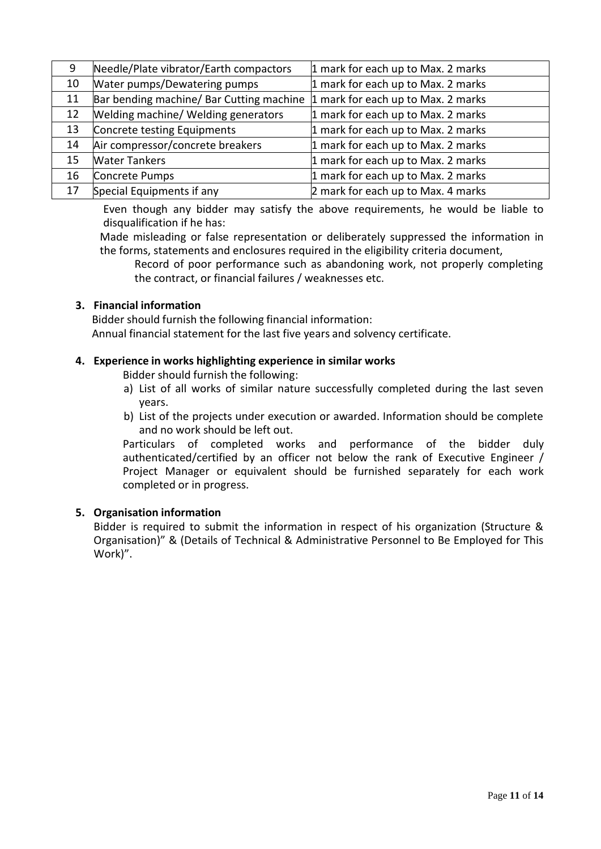| 9  | Needle/Plate vibrator/Earth compactors   | 1 mark for each up to Max. 2 marks |
|----|------------------------------------------|------------------------------------|
| 10 | Water pumps/Dewatering pumps             | 1 mark for each up to Max. 2 marks |
| 11 | Bar bending machine/ Bar Cutting machine | 1 mark for each up to Max. 2 marks |
| 12 | Welding machine/ Welding generators      | 1 mark for each up to Max. 2 marks |
| 13 | Concrete testing Equipments              | 1 mark for each up to Max. 2 marks |
| 14 | Air compressor/concrete breakers         | 1 mark for each up to Max. 2 marks |
| 15 | <b>Water Tankers</b>                     | 1 mark for each up to Max. 2 marks |
| 16 | Concrete Pumps                           | 1 mark for each up to Max. 2 marks |
| 17 | Special Equipments if any                | 2 mark for each up to Max. 4 marks |

Even though any bidder may satisfy the above requirements, he would be liable to disqualification if he has:

Made misleading or false representation or deliberately suppressed the information in the forms, statements and enclosures required in the eligibility criteria document,

Record of poor performance such as abandoning work, not properly completing the contract, or financial failures / weaknesses etc.

## **3. Financial information**

Bidder should furnish the following financial information: Annual financial statement for the last five years and solvency certificate.

#### **4. Experience in works highlighting experience in similar works**

Bidder should furnish the following:

- a) List of all works of similar nature successfully completed during the last seven years.
- b) List of the projects under execution or awarded. Information should be complete and no work should be left out.

Particulars of completed works and performance of the bidder duly authenticated/certified by an officer not below the rank of Executive Engineer / Project Manager or equivalent should be furnished separately for each work completed or in progress.

#### **5. Organisation information**

Bidder is required to submit the information in respect of his organization (Structure & Organisation)" & (Details of Technical & Administrative Personnel to Be Employed for This Work)".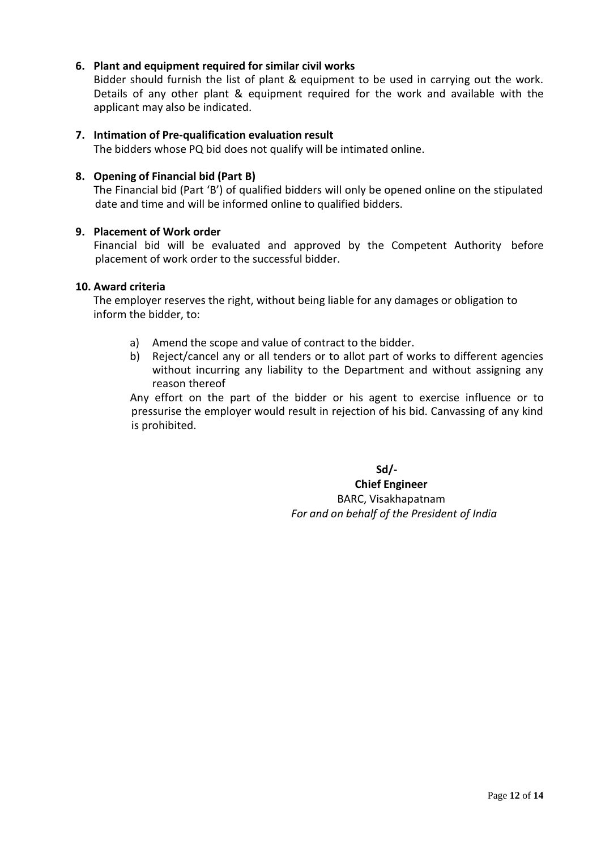## **6. Plant and equipment required for similar civil works**

Bidder should furnish the list of plant & equipment to be used in carrying out the work. Details of any other plant & equipment required for the work and available with the applicant may also be indicated.

#### **7. Intimation of Pre-qualification evaluation result**

The bidders whose PQ bid does not qualify will be intimated online.

#### **8. Opening of Financial bid (Part B)**

The Financial bid (Part 'B') of qualified bidders will only be opened online on the stipulated date and time and will be informed online to qualified bidders.

#### **9. Placement of Work order**

Financial bid will be evaluated and approved by the Competent Authority before placement of work order to the successful bidder.

#### **10. Award criteria**

The employer reserves the right, without being liable for any damages or obligation to inform the bidder, to:

- a) Amend the scope and value of contract to the bidder.
- b) Reject/cancel any or all tenders or to allot part of works to different agencies without incurring any liability to the Department and without assigning any reason thereof

Any effort on the part of the bidder or his agent to exercise influence or to pressurise the employer would result in rejection of his bid. Canvassing of any kind is prohibited.

**Sd/-**

#### **Chief Engineer** BARC, Visakhapatnam *For and on behalf of the President of India*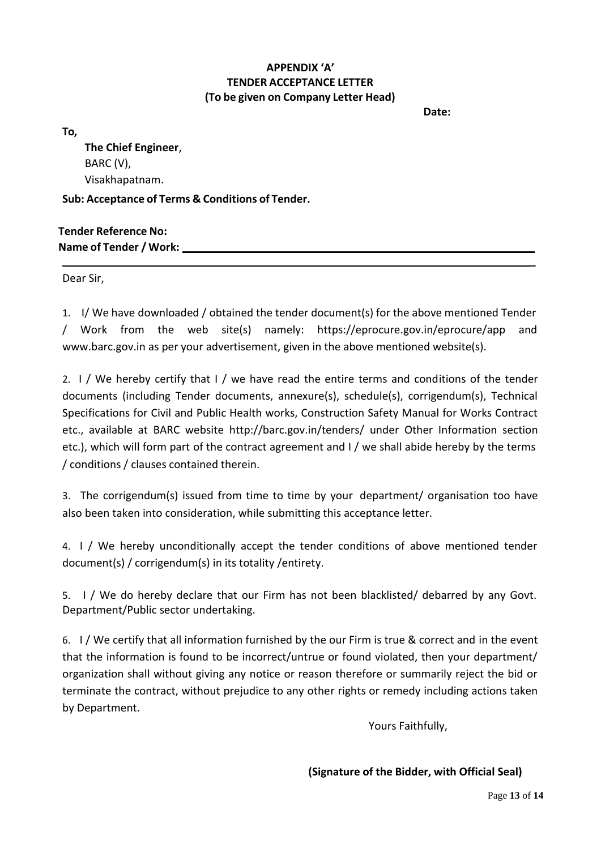# **APPENDIX 'A' TENDER ACCEPTANCE LETTER (To be given on Company Letter Head)**

**Date:**

**The Chief Engineer**, BARC (V), Visakhapatnam.

**Sub: Acceptance of Terms & Conditions of Tender.**

**Tender Reference No: Name of Tender / Work:**

Dear Sir,

**To,**

1. I/ We have downloaded / obtained the tender document(s) for the above mentioned Tender / Work from the web site(s) namely: https://eprocure.gov.in/eprocure/app and [www.barc.gov.in a](http://www.barc.gov.in/)s per your advertisement, given in the above mentioned website(s).

2. I / We hereby certify that I / we have read the entire terms and conditions of the tender documents (including Tender documents, annexure(s), schedule(s), corrigendum(s), Technical Specifications for Civil and Public Health works, Construction Safety Manual for Works Contract etc., available at BARC website <http://barc.gov.in/tenders/> under Other Information section etc.), which will form part of the contract agreement and I / we shall abide hereby by the terms / conditions / clauses contained therein.

3. The corrigendum(s) issued from time to time by your department/ organisation too have also been taken into consideration, while submitting this acceptance letter.

4. I / We hereby unconditionally accept the tender conditions of above mentioned tender document(s) / corrigendum(s) in its totality /entirety.

5. I / We do hereby declare that our Firm has not been blacklisted/ debarred by any Govt. Department/Public sector undertaking.

6. I / We certify that all information furnished by the our Firm is true & correct and in the event that the information is found to be incorrect/untrue or found violated, then your department/ organization shall without giving any notice or reason therefore or summarily reject the bid or terminate the contract, without prejudice to any other rights or remedy including actions taken by Department.

Yours Faithfully,

**(Signature of the Bidder, with Official Seal)**

**\_**